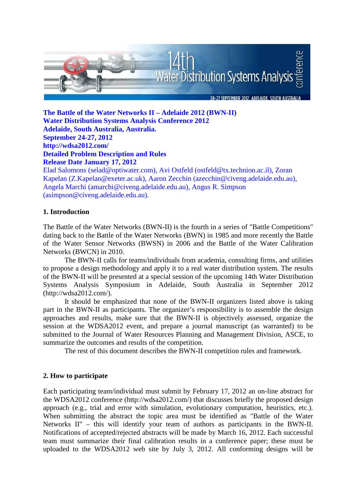

**The Battle of the Water Networks II – Adelaide 2012 (BWN-II) Water Distribution Systems Analysis Conference 2012 Adelaide, South Australia, Australia. September 24-27, 2012 http://wdsa2012.com/ Detailed Problem Description and Rules Release Date January 17, 2012** 

Elad Salomons (selad@optiwater.com), Avi Ostfeld (ostfeld@tx.technion.ac.il), Zoran Kapelan (Z.Kapelan@exeter.ac.uk), Aaron Zecchin (azecchin@civeng.adelaide.edu.au), Angela Marchi (amarchi@civeng.adelaide.edu.au), Angus R. Simpson (asimpson@civeng.adelaide.edu.au).

# **1. Introduction**

The Battle of the Water Networks (BWN-II) is the fourth in a series of "Battle Competitions" dating back to the Battle of the Water Networks (BWN) in 1985 and more recently the Battle of the Water Sensor Networks (BWSN) in 2006 and the Battle of the Water Calibration Networks (BWCN) in 2010.

The BWN-II calls for teams/individuals from academia, consulting firms, and utilities to propose a design methodology and apply it to a real water distribution system. The results of the BWN-II will be presented at a special session of the upcoming 14th Water Distribution Systems Analysis Symposium in Adelaide, South Australia in September 2012 (http://wdsa2012.com/).

It should be emphasized that none of the BWN-II organizers listed above is taking part in the BWN-II as participants. The organizer's responsibility is to assemble the design approaches and results, make sure that the BWN-II is objectively assessed, organize the session at the WDSA2012 event, and prepare a journal manuscript (as warranted) to be submitted to the Journal of Water Resources Planning and Management Division, ASCE, to summarize the outcomes and results of the competition.

The rest of this document describes the BWN-II competition rules and framework.

# **2. How to participate**

Each participating team/individual must submit by February 17, 2012 an on-line abstract for the WDSA2012 conference (http://wdsa2012.com/) that discusses briefly the proposed design approach (e.g., trial and error with simulation, evolutionary computation, heuristics, etc.). When submitting the abstract the topic area must be identified as "Battle of the Water Networks II" – this will identify your team of authors as participants in the BWN-II. Notifications of accepted/rejected abstracts will be made by March 16, 2012. Each successful team must summarize their final calibration results in a conference paper; these must be uploaded to the WDSA2012 web site by July 3, 2012. All conforming designs will be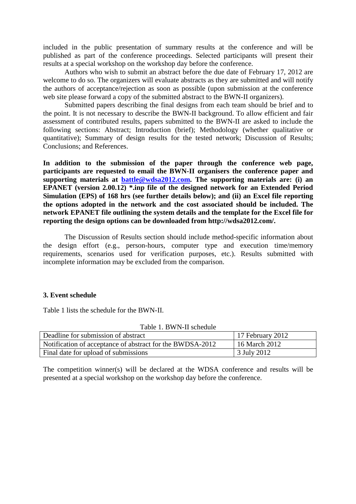included in the public presentation of summary results at the conference and will be published as part of the conference proceedings. Selected participants will present their results at a special workshop on the workshop day before the conference.

Authors who wish to submit an abstract before the due date of February 17, 2012 are welcome to do so. The organizers will evaluate abstracts as they are submitted and will notify the authors of acceptance/rejection as soon as possible (upon submission at the conference web site please forward a copy of the submitted abstract to the BWN-II organizers).

Submitted papers describing the final designs from each team should be brief and to the point. It is not necessary to describe the BWN-II background. To allow efficient and fair assessment of contributed results, papers submitted to the BWN-II are asked to include the following sections: Abstract; Introduction (brief); Methodology (whether qualitative or quantitative); Summary of design results for the tested network; Discussion of Results; Conclusions; and References.

**In addition to the submission of the paper through the conference web page, participants are requested to email the BWN-II organisers the conference paper and supporting materials at battle@wdsa2012.com. The supporting materials are: (i) an EPANET (version 2.00.12) \*.inp file of the designed network for an Extended Period Simulation (EPS) of 168 hrs (see further details below); and (ii) an Excel file reporting the options adopted in the network and the cost associated should be included. The network EPANET file outlining the system details and the template for the Excel file for reporting the design options can be downloaded from http://wdsa2012.com/.** 

The Discussion of Results section should include method-specific information about the design effort (e.g., person-hours, computer type and execution time/memory requirements, scenarios used for verification purposes, etc.). Results submitted with incomplete information may be excluded from the comparison.

#### **3. Event schedule**

Table 1 lists the schedule for the BWN-II.

| Deadline for submission of abstract                       | 17 February 2012 |
|-----------------------------------------------------------|------------------|
| Notification of acceptance of abstract for the BWDSA-2012 | 16 March 2012    |
| Final date for upload of submissions                      | 3 July 2012      |

Table 1. BWN-II schedule

The competition winner(s) will be declared at the WDSA conference and results will be presented at a special workshop on the workshop day before the conference.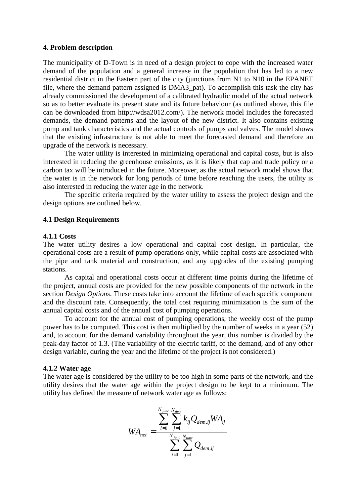#### **4. Problem description**

The municipality of D-Town is in need of a design project to cope with the increased water demand of the population and a general increase in the population that has led to a new residential district in the Eastern part of the city (junctions from N1 to N10 in the EPANET file, where the demand pattern assigned is DMA3\_pat). To accomplish this task the city has already commissioned the development of a calibrated hydraulic model of the actual network so as to better evaluate its present state and its future behaviour (as outlined above, this file can be downloaded from http://wdsa2012.com/). The network model includes the forecasted demands, the demand patterns and the layout of the new district. It also contains existing pump and tank characteristics and the actual controls of pumps and valves. The model shows that the existing infrastructure is not able to meet the forecasted demand and therefore an upgrade of the network is necessary.

The water utility is interested in minimizing operational and capital costs, but is also interested in reducing the greenhouse emissions, as it is likely that cap and trade policy or a carbon tax will be introduced in the future. Moreover, as the actual network model shows that the water is in the network for long periods of time before reaching the users, the utility is also interested in reducing the water age in the network.

The specific criteria required by the water utility to assess the project design and the design options are outlined below.

#### **4.1 Design Requirements**

#### **4.1.1 Costs**

The water utility desires a low operational and capital cost design. In particular, the operational costs are a result of pump operations only, while capital costs are associated with the pipe and tank material and construction, and any upgrades of the existing pumping stations.

As capital and operational costs occur at different time points during the lifetime of the project, annual costs are provided for the new possible components of the network in the section *Design Options*. These costs take into account the lifetime of each specific component and the discount rate. Consequently, the total cost requiring minimization is the sum of the annual capital costs and of the annual cost of pumping operations.

To account for the annual cost of pumping operations, the weekly cost of the pump power has to be computed. This cost is then multiplied by the number of weeks in a year (52) and, to account for the demand variability throughout the year, this number is divided by the peak-day factor of 1.3. (The variability of the electric tariff, of the demand, and of any other design variable, during the year and the lifetime of the project is not considered.)

#### **4.1.2 Water age**

The water age is considered by the utility to be too high in some parts of the network, and the utility desires that the water age within the project design to be kept to a minimum. The utility has defined the measure of network water age as follows:

$$
WA_{net} = \frac{\sum_{i=1}^{N_{junc}} \sum_{j=1}^{N_{time}} k_{ij} Q_{dem,ij} WA_{ij}}{\sum_{i=1}^{N_{junc}} \sum_{j=1}^{N_{time}} Q_{dem,ij}}
$$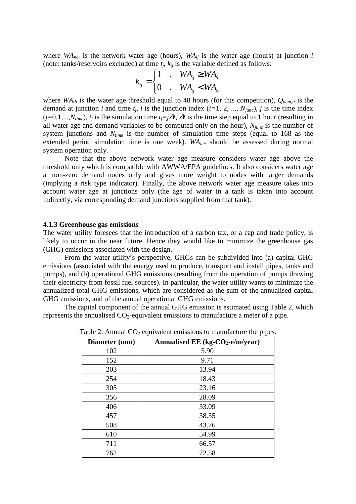where  $WA_{net}$  is the network water age (hours),  $WA_{ij}$  is the water age (hours) at junction *i* (note: tanks/reservoirs excluded) at time  $t_j$ ,  $k_{ij}$  is the variable defined as follows:

$$
k_{ij} = \begin{cases} 1 & , W A_{ij} \ge W A_{th} \\ 0 & , W A_{ij} < W A_{th} \end{cases}
$$

where  $WA<sub>th</sub>$  is the water age threshold equal to 48 hours (for this competition),  $Q<sub>dem,ij</sub>$  is the demand at junction *i* and time  $t_j$ , *i* is the junction index (*i*=1, 2, ...,  $N_{junc}$ ), *j* is the time index  $(j=0,1,...,N_{time})$ ,  $t_j$  is the simulation time  $t_j = j\Delta t$ ,  $\Delta t$  is the time step equal to 1 hour (resulting in all water age and demand variables to be computed only on the hour), *Njunc* is the number of system junctions and *Ntime* is the number of simulation time steps (equal to 168 as the extended period simulation time is one week). *WAnet* should be assessed during normal system operation only.

Note that the above network water age measure considers water age above the threshold only which is compatible with AWWA/EPA guidelines. It also considers water age at non-zero demand nodes only and gives more weight to nodes with larger demands (implying a risk type indicator). Finally, the above network water age measure takes into account water age at junctions only (the age of water in a tank is taken into account indirectly, via corresponding demand junctions supplied from that tank).

#### **4.1.3 Greenhouse gas emissions**

The water utility foresees that the introduction of a carbon tax, or a cap and trade policy, is likely to occur in the near future. Hence they would like to minimize the greenhouse gas (GHG) emissions associated with the design.

From the water utility's perspective, GHGs can be subdivided into (a) capital GHG emissions (associated with the energy used to produce, transport and install pipes, tanks and pumps), and (b) operational GHG emissions (resulting from the operation of pumps drawing their electricity from fossil fuel sources). In particular, the water utility wants to minimize the annualized total GHG emissions, which are considered as the sum of the annualised capital GHG emissions, and of the annual operational GHG emissions.

The capital component of the annual GHG emission is estimated using Table 2, which represents the annualised  $CO_2$ -equivalent emissions to manufacture a meter of a pipe.

| Diameter (mm) | Annualised EE (kg-CO <sub>2</sub> -e/m/year) |
|---------------|----------------------------------------------|
| 102           | 5.90                                         |
| 152           | 9.71                                         |
| 203           | 13.94                                        |
| 254           | 18.43                                        |
| 305           | 23.16                                        |
| 356           | 28.09                                        |
| 406           | 33.09                                        |
| 457           | 38.35                                        |
| 508           | 43.76                                        |
| 610           | 54.99                                        |
| 711           | 66.57                                        |
| 762           | 72.58                                        |

Table 2. Annual  $CO<sub>2</sub>$  equivalent emissions to manufacture the pipes.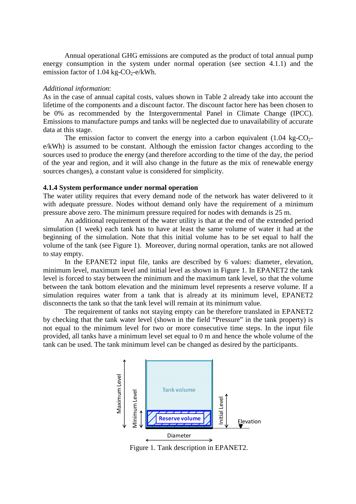Annual operational GHG emissions are computed as the product of total annual pump energy consumption in the system under normal operation (see section 4.1.1) and the emission factor of 1.04 kg- $CO<sub>2</sub>$ -e/kWh.

#### *Additional information*:

As in the case of annual capital costs, values shown in Table 2 already take into account the lifetime of the components and a discount factor. The discount factor here has been chosen to be 0% as recommended by the Intergovernmental Panel in Climate Change (IPCC). Emissions to manufacture pumps and tanks will be neglected due to unavailability of accurate data at this stage.

The emission factor to convert the energy into a carbon equivalent  $(1.04 \text{ kg-CO}_{2})$ e/kWh) is assumed to be constant. Although the emission factor changes according to the sources used to produce the energy (and therefore according to the time of the day, the period of the year and region, and it will also change in the future as the mix of renewable energy sources changes), a constant value is considered for simplicity.

#### **4.1.4 System performance under normal operation**

The water utility requires that every demand node of the network has water delivered to it with adequate pressure. Nodes without demand only have the requirement of a minimum pressure above zero. The minimum pressure required for nodes with demands is 25 m.

An additional requirement of the water utility is that at the end of the extended period simulation (1 week) each tank has to have at least the same volume of water it had at the beginning of the simulation. Note that this initial volume has to be set equal to half the volume of the tank (see Figure 1). Moreover, during normal operation, tanks are not allowed to stay empty.

In the EPANET2 input file, tanks are described by 6 values: diameter, elevation, minimum level, maximum level and initial level as shown in Figure 1. In EPANET2 the tank level is forced to stay between the minimum and the maximum tank level, so that the volume between the tank bottom elevation and the minimum level represents a reserve volume. If a simulation requires water from a tank that is already at its minimum level, EPANET2 disconnects the tank so that the tank level will remain at its minimum value.

The requirement of tanks not staying empty can be therefore translated in EPANET2 by checking that the tank water level (shown in the field "Pressure" in the tank property) is not equal to the minimum level for two or more consecutive time steps. In the input file provided, all tanks have a minimum level set equal to 0 m and hence the whole volume of the tank can be used. The tank minimum level can be changed as desired by the participants.



Figure 1. Tank description in EPANET2.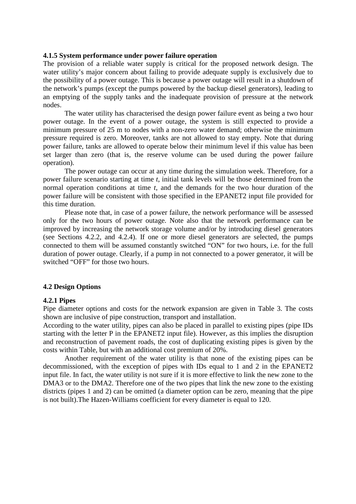#### **4.1.5 System performance under power failure operation**

The provision of a reliable water supply is critical for the proposed network design. The water utility's major concern about failing to provide adequate supply is exclusively due to the possibility of a power outage. This is because a power outage will result in a shutdown of the network's pumps (except the pumps powered by the backup diesel generators), leading to an emptying of the supply tanks and the inadequate provision of pressure at the network nodes.

The water utility has characterised the design power failure event as being a two hour power outage. In the event of a power outage, the system is still expected to provide a minimum pressure of 25 m to nodes with a non-zero water demand; otherwise the minimum pressure required is zero. Moreover, tanks are not allowed to stay empty. Note that during power failure, tanks are allowed to operate below their minimum level if this value has been set larger than zero (that is, the reserve volume can be used during the power failure operation).

The power outage can occur at any time during the simulation week. Therefore, for a power failure scenario starting at time *t*, initial tank levels will be those determined from the normal operation conditions at time *t*, and the demands for the two hour duration of the power failure will be consistent with those specified in the EPANET2 input file provided for this time duration.

Please note that, in case of a power failure, the network performance will be assessed only for the two hours of power outage. Note also that the network performance can be improved by increasing the network storage volume and/or by introducing diesel generators (see Sections 4.2.2, and 4.2.4). If one or more diesel generators are selected, the pumps connected to them will be assumed constantly switched "ON" for two hours, i.e. for the full duration of power outage. Clearly, if a pump in not connected to a power generator, it will be switched "OFF" for those two hours.

#### **4.2 Design Options**

#### **4.2.1 Pipes**

Pipe diameter options and costs for the network expansion are given in Table 3. The costs shown are inclusive of pipe construction, transport and installation.

According to the water utility, pipes can also be placed in parallel to existing pipes (pipe IDs starting with the letter P in the EPANET2 input file). However, as this implies the disruption and reconstruction of pavement roads, the cost of duplicating existing pipes is given by the costs within Table, but with an additional cost premium of 20%.

Another requirement of the water utility is that none of the existing pipes can be decommissioned, with the exception of pipes with IDs equal to 1 and 2 in the EPANET2 input file. In fact, the water utility is not sure if it is more effective to link the new zone to the DMA3 or to the DMA2. Therefore one of the two pipes that link the new zone to the existing districts (pipes 1 and 2) can be omitted (a diameter option can be zero, meaning that the pipe is not built).The Hazen-Williams coefficient for every diameter is equal to 120.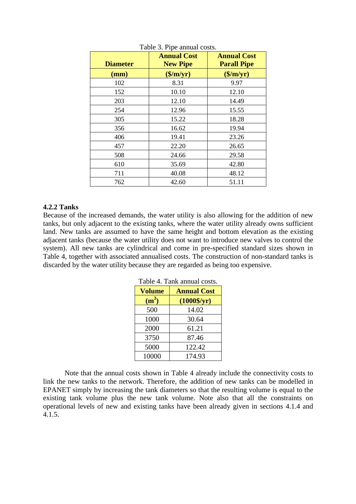| <b>Diameter</b> | <b>Annual Cost</b><br><b>New Pipe</b> | <b>Annual Cost</b><br><b>Parall Pipe</b> |
|-----------------|---------------------------------------|------------------------------------------|
| (mm)            | $(\frac{\sqrt{m}}{yr})$               | $(\frac{\sqrt{m}}{yr})$                  |
| 102             | 8.31                                  | 9.97                                     |
| 152             | 10.10                                 | 12.10                                    |
| 203             | 12.10                                 | 14.49                                    |
| 254             | 12.96                                 | 15.55                                    |
| 305             | 15.22                                 | 18.28                                    |
| 356             | 16.62                                 | 19.94                                    |
| 406             | 19.41                                 | 23.26                                    |
| 457             | 22.20                                 | 26.65                                    |
| 508             | 24.66                                 | 29.58                                    |
| 610             | 35.69                                 | 42.80                                    |
| 711             | 40.08                                 | 48.12                                    |
| 762             | 42.60                                 | 51.11                                    |

Table 3. Pipe annual costs.

# **4.2.2 Tanks**

Because of the increased demands, the water utility is also allowing for the addition of new tanks, but only adjacent to the existing tanks, where the water utility already owns sufficient land. New tanks are assumed to have the same height and bottom elevation as the existing adjacent tanks (because the water utility does not want to introduce new valves to control the system). All new tanks are cylindrical and come in pre-specified standard sizes shown in Table 4, together with associated annualised costs. The construction of non-standard tanks is discarded by the water utility because they are regarded as being too expensive.

| TAVIC 4. TAHN AHHUAI COSIS. |                    |  |  |
|-----------------------------|--------------------|--|--|
| <b>Volume</b>               | <b>Annual Cost</b> |  |  |
| (m <sup>3</sup> )           | $(1000\$/yr)$      |  |  |
| 500                         | 14.02              |  |  |
| 1000                        | 30.64              |  |  |
| 2000                        | 61.21              |  |  |
| 3750                        | 87.46              |  |  |
| 5000                        | 122.42             |  |  |
| 10000                       | 174.93             |  |  |

Table 4. Tank annual costs.

Note that the annual costs shown in Table 4 already include the connectivity costs to link the new tanks to the network. Therefore, the addition of new tanks can be modelled in EPANET simply by increasing the tank diameters so that the resulting volume is equal to the existing tank volume plus the new tank volume. Note also that all the constraints on operational levels of new and existing tanks have been already given in sections 4.1.4 and 4.1.5.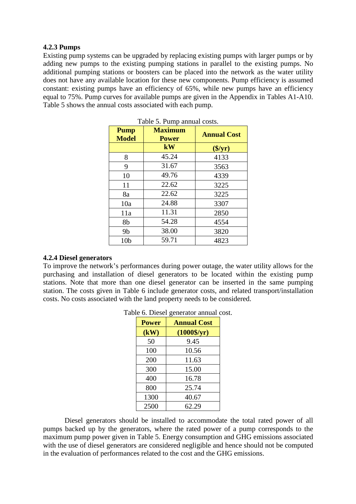# **4.2.3 Pumps**

Existing pump systems can be upgraded by replacing existing pumps with larger pumps or by adding new pumps to the existing pumping stations in parallel to the existing pumps. No additional pumping stations or boosters can be placed into the network as the water utility does not have any available location for these new components. Pump efficiency is assumed constant: existing pumps have an efficiency of 65%, while new pumps have an efficiency equal to 75%. Pump curves for available pumps are given in the Appendix in Tables A1-A10. Table 5 shows the annual costs associated with each pump.

| <b>Pump</b><br><b>Model</b> | <b>Maximum</b><br><b>Power</b> | <b>Annual Cost</b> |
|-----------------------------|--------------------------------|--------------------|
|                             | kW                             | $(\frac{f}{f})$    |
| 8                           | 45.24                          | 4133               |
| 9                           | 31.67                          | 3563               |
| 10                          | 49.76                          | 4339               |
| 11                          | 22.62                          | 3225               |
| 8a                          | 22.62                          | 3225               |
| 10a                         | 24.88                          | 3307               |
| 11a                         | 11.31                          | 2850               |
| 8b                          | 54.28                          | 4554               |
| 9b                          | 38.00                          | 3820               |
| 10 <sub>b</sub>             | 59.71                          | 4823               |

| Table 5. Pump annual costs. |  |  |  |
|-----------------------------|--|--|--|
|-----------------------------|--|--|--|

#### **4.2.4 Diesel generators**

To improve the network's performances during power outage, the water utility allows for the purchasing and installation of diesel generators to be located within the existing pump stations. Note that more than one diesel generator can be inserted in the same pumping station. The costs given in Table 6 include generator costs, and related transport/installation costs. No costs associated with the land property needs to be considered.

| <b>Power</b> | <b>Annual Cost</b>   |
|--------------|----------------------|
| (kW)         | $(1000\frac{5}{yr})$ |
| 50           | 9.45                 |
| 100          | 10.56                |
| 200          | 11.63                |
| 300          | 15.00                |
| 400          | 16.78                |
| 800          | 25.74                |
| 1300         | 40.67                |
| 2500         | 62.29                |

Table 6. Diesel generator annual cost.

Diesel generators should be installed to accommodate the total rated power of all pumps backed up by the generators, where the rated power of a pump corresponds to the maximum pump power given in Table 5. Energy consumption and GHG emissions associated with the use of diesel generators are considered negligible and hence should not be computed in the evaluation of performances related to the cost and the GHG emissions.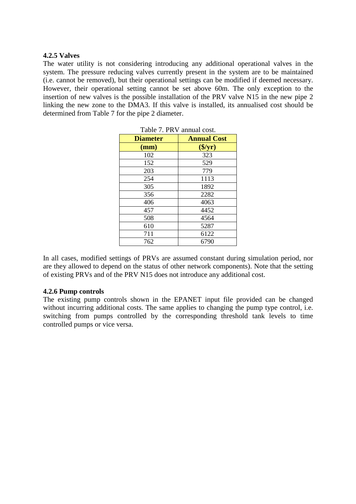# **4.2.5 Valves**

The water utility is not considering introducing any additional operational valves in the system. The pressure reducing valves currently present in the system are to be maintained (i.e. cannot be removed), but their operational settings can be modified if deemed necessary. However, their operational setting cannot be set above 60m. The only exception to the insertion of new valves is the possible installation of the PRV valve N15 in the new pipe 2 linking the new zone to the DMA3. If this valve is installed, its annualised cost should be determined from Table 7 for the pipe 2 diameter.

| Table 7. PRV annual cost. |                        |  |
|---------------------------|------------------------|--|
| <b>Diameter</b>           | <b>Annual Cost</b>     |  |
| (mm)                      | $(\frac{\sqrt{3}}{y})$ |  |
| 102                       | 323                    |  |
| 152                       | 529                    |  |
| 203                       | 779                    |  |
| 254                       | 1113                   |  |
| 305                       | 1892                   |  |
| 356                       | 2282                   |  |
| 406                       | 4063                   |  |
| 457                       | 4452                   |  |
| 508                       | 4564                   |  |
| 610                       | 5287                   |  |
| 711                       | 6122                   |  |
| 762                       | 6790                   |  |

In all cases, modified settings of PRVs are assumed constant during simulation period, nor are they allowed to depend on the status of other network components). Note that the setting of existing PRVs and of the PRV N15 does not introduce any additional cost.

# **4.2.6 Pump controls**

The existing pump controls shown in the EPANET input file provided can be changed without incurring additional costs. The same applies to changing the pump type control, i.e. switching from pumps controlled by the corresponding threshold tank levels to time controlled pumps or vice versa.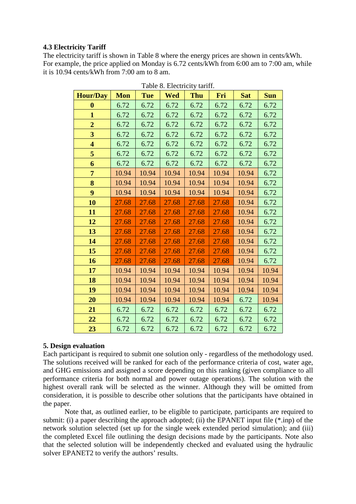# **4.3 Electricity Tariff**

The electricity tariff is shown in Table 8 where the energy prices are shown in cents/kWh. For example, the price applied on Monday is 6.72 cents/kWh from 6:00 am to 7:00 am, while it is 10.94 cents/kWh from 7:00 am to 8 am.

| <b>Hour/Day</b>         | <b>Mon</b> | <b>Tue</b> | <b>Wed</b> | Thu   | Fri   | <b>Sat</b> | <b>Sun</b> |
|-------------------------|------------|------------|------------|-------|-------|------------|------------|
| $\bf{0}$                | 6.72       | 6.72       | 6.72       | 6.72  | 6.72  | 6.72       | 6.72       |
| $\mathbf{1}$            | 6.72       | 6.72       | 6.72       | 6.72  | 6.72  | 6.72       | 6.72       |
| $\overline{2}$          | 6.72       | 6.72       | 6.72       | 6.72  | 6.72  | 6.72       | 6.72       |
| 3                       | 6.72       | 6.72       | 6.72       | 6.72  | 6.72  | 6.72       | 6.72       |
| $\overline{\mathbf{4}}$ | 6.72       | 6.72       | 6.72       | 6.72  | 6.72  | 6.72       | 6.72       |
| 5                       | 6.72       | 6.72       | 6.72       | 6.72  | 6.72  | 6.72       | 6.72       |
| 6                       | 6.72       | 6.72       | 6.72       | 6.72  | 6.72  | 6.72       | 6.72       |
| $\overline{7}$          | 10.94      | 10.94      | 10.94      | 10.94 | 10.94 | 10.94      | 6.72       |
| 8                       | 10.94      | 10.94      | 10.94      | 10.94 | 10.94 | 10.94      | 6.72       |
| 9                       | 10.94      | 10.94      | 10.94      | 10.94 | 10.94 | 10.94      | 6.72       |
| 10                      | 27.68      | 27.68      | 27.68      | 27.68 | 27.68 | 10.94      | 6.72       |
| 11                      | 27.68      | 27.68      | 27.68      | 27.68 | 27.68 | 10.94      | 6.72       |
| 12                      | 27.68      | 27.68      | 27.68      | 27.68 | 27.68 | 10.94      | 6.72       |
| 13                      | 27.68      | 27.68      | 27.68      | 27.68 | 27.68 | 10.94      | 6.72       |
| 14                      | 27.68      | 27.68      | 27.68      | 27.68 | 27.68 | 10.94      | 6.72       |
| 15                      | 27.68      | 27.68      | 27.68      | 27.68 | 27.68 | 10.94      | 6.72       |
| 16                      | 27.68      | 27.68      | 27.68      | 27.68 | 27.68 | 10.94      | 6.72       |
| 17                      | 10.94      | 10.94      | 10.94      | 10.94 | 10.94 | 10.94      | 10.94      |
| 18                      | 10.94      | 10.94      | 10.94      | 10.94 | 10.94 | 10.94      | 10.94      |
| 19                      | 10.94      | 10.94      | 10.94      | 10.94 | 10.94 | 10.94      | 10.94      |
| 20                      | 10.94      | 10.94      | 10.94      | 10.94 | 10.94 | 6.72       | 10.94      |
| 21                      | 6.72       | 6.72       | 6.72       | 6.72  | 6.72  | 6.72       | 6.72       |
| 22                      | 6.72       | 6.72       | 6.72       | 6.72  | 6.72  | 6.72       | 6.72       |
| 23                      | 6.72       | 6.72       | 6.72       | 6.72  | 6.72  | 6.72       | 6.72       |

Table 8. Electricity tariff.

# **5. Design evaluation**

Each participant is required to submit one solution only - regardless of the methodology used. The solutions received will be ranked for each of the performance criteria of cost, water age, and GHG emissions and assigned a score depending on this ranking (given compliance to all performance criteria for both normal and power outage operations). The solution with the highest overall rank will be selected as the winner. Although they will be omitted from consideration, it is possible to describe other solutions that the participants have obtained in the paper.

Note that, as outlined earlier, to be eligible to participate, participants are required to submit: (i) a paper describing the approach adopted; (ii) the EPANET input file (\*.inp) of the network solution selected (set up for the single week extended period simulation); and (iii) the completed Excel file outlining the design decisions made by the participants. Note also that the selected solution will be independently checked and evaluated using the hydraulic solver EPANET2 to verify the authors' results.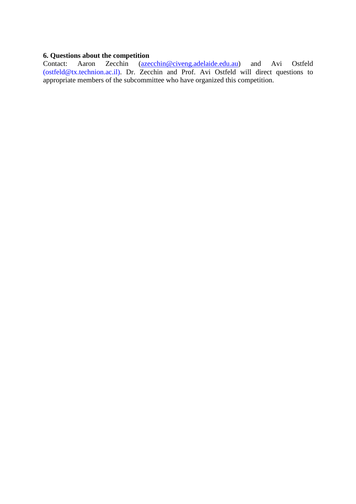# **6. Questions about the competition**<br>Contact: Aaron Zecchin (azed

(azecchin@civeng.adelaide.edu.au) and Avi Ostfeld (ostfeld@tx.technion.ac.il). Dr. Zecchin and Prof. Avi Ostfeld will direct questions to appropriate members of the subcommittee who have organized this competition.